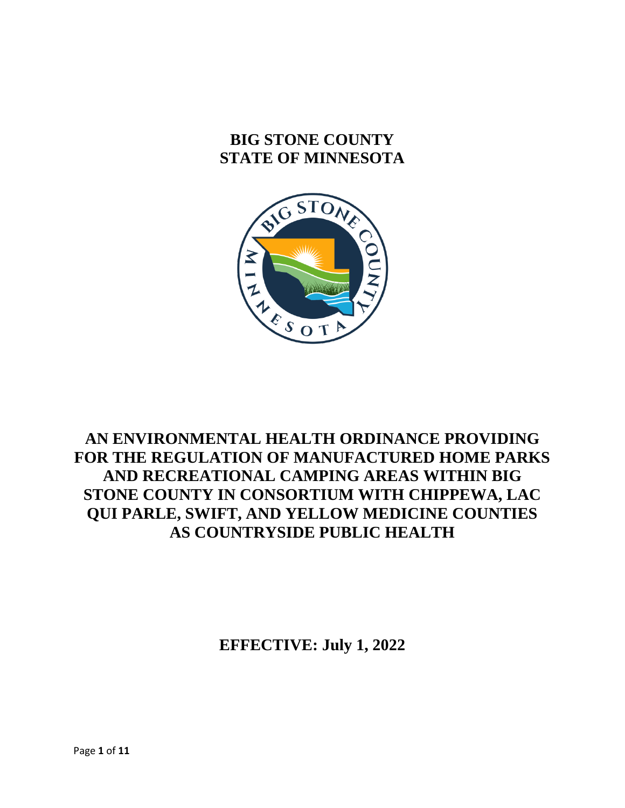# **BIG STONE COUNTY STATE OF MINNESOTA**



## **AN ENVIRONMENTAL HEALTH ORDINANCE PROVIDING FOR THE REGULATION OF MANUFACTURED HOME PARKS AND RECREATIONAL CAMPING AREAS WITHIN BIG STONE COUNTY IN CONSORTIUM WITH CHIPPEWA, LAC QUI PARLE, SWIFT, AND YELLOW MEDICINE COUNTIES AS COUNTRYSIDE PUBLIC HEALTH**

**EFFECTIVE: July 1, 2022**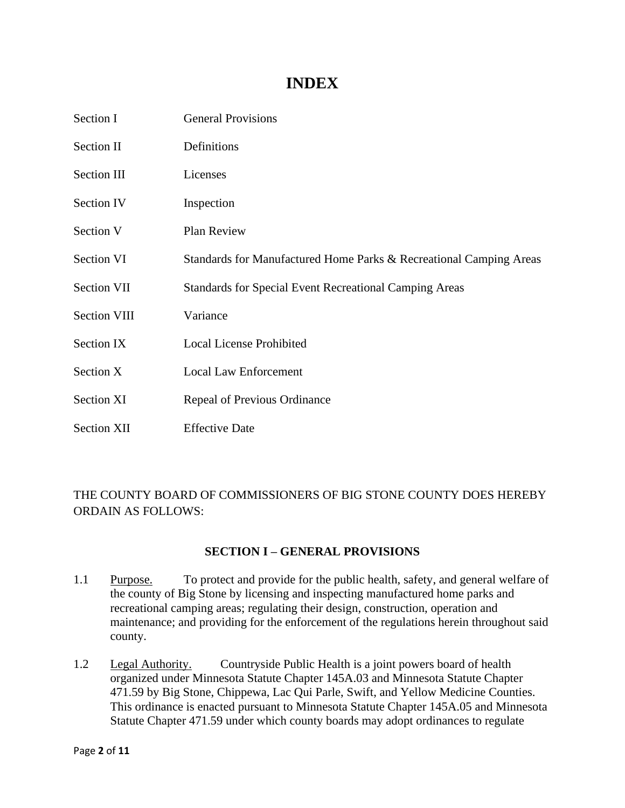## **INDEX**

| Section I           | <b>General Provisions</b>                                          |
|---------------------|--------------------------------------------------------------------|
| Section II          | Definitions                                                        |
| Section III         | Licenses                                                           |
| Section IV          | Inspection                                                         |
| Section V           | Plan Review                                                        |
| <b>Section VI</b>   | Standards for Manufactured Home Parks & Recreational Camping Areas |
| <b>Section VII</b>  | <b>Standards for Special Event Recreational Camping Areas</b>      |
| <b>Section VIII</b> | Variance                                                           |
| Section IX          | <b>Local License Prohibited</b>                                    |
| Section X           | <b>Local Law Enforcement</b>                                       |
| Section XI          | Repeal of Previous Ordinance                                       |
| <b>Section XII</b>  | <b>Effective Date</b>                                              |

## THE COUNTY BOARD OF COMMISSIONERS OF BIG STONE COUNTY DOES HEREBY ORDAIN AS FOLLOWS:

#### **SECTION I – GENERAL PROVISIONS**

- 1.1 Purpose. To protect and provide for the public health, safety, and general welfare of the county of Big Stone by licensing and inspecting manufactured home parks and recreational camping areas; regulating their design, construction, operation and maintenance; and providing for the enforcement of the regulations herein throughout said county.
- 1.2 Legal Authority. Countryside Public Health is a joint powers board of health organized under Minnesota Statute Chapter 145A.03 and Minnesota Statute Chapter 471.59 by Big Stone, Chippewa, Lac Qui Parle, Swift, and Yellow Medicine Counties. This ordinance is enacted pursuant to Minnesota Statute Chapter 145A.05 and Minnesota Statute Chapter 471.59 under which county boards may adopt ordinances to regulate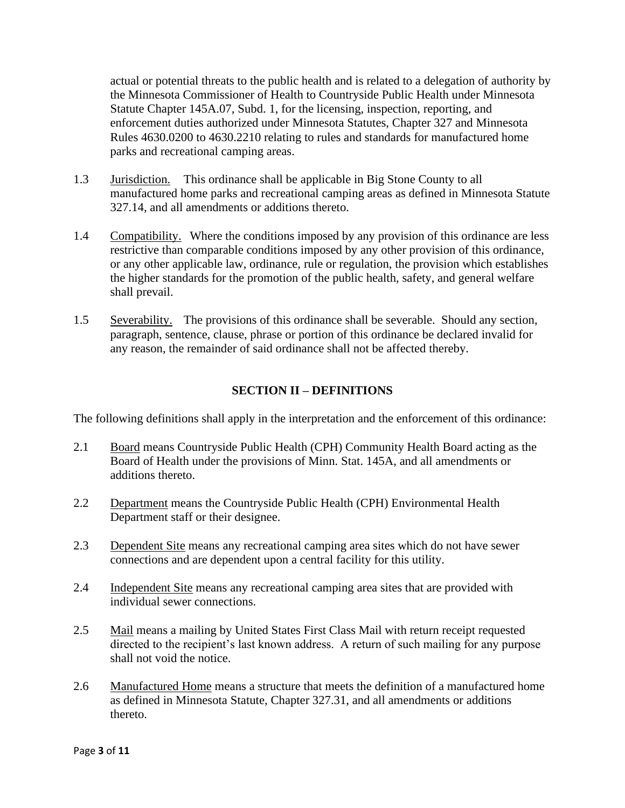actual or potential threats to the public health and is related to a delegation of authority by the Minnesota Commissioner of Health to Countryside Public Health under Minnesota Statute Chapter 145A.07, Subd. 1, for the licensing, inspection, reporting, and enforcement duties authorized under Minnesota Statutes, Chapter 327 and Minnesota Rules 4630.0200 to 4630.2210 relating to rules and standards for manufactured home parks and recreational camping areas.

- 1.3 Jurisdiction. This ordinance shall be applicable in Big Stone County to all manufactured home parks and recreational camping areas as defined in Minnesota Statute 327.14, and all amendments or additions thereto.
- 1.4 Compatibility. Where the conditions imposed by any provision of this ordinance are less restrictive than comparable conditions imposed by any other provision of this ordinance, or any other applicable law, ordinance, rule or regulation, the provision which establishes the higher standards for the promotion of the public health, safety, and general welfare shall prevail.
- 1.5 Severability. The provisions of this ordinance shall be severable. Should any section, paragraph, sentence, clause, phrase or portion of this ordinance be declared invalid for any reason, the remainder of said ordinance shall not be affected thereby.

### **SECTION II – DEFINITIONS**

The following definitions shall apply in the interpretation and the enforcement of this ordinance:

- 2.1 Board means Countryside Public Health (CPH) Community Health Board acting as the Board of Health under the provisions of Minn. Stat. 145A, and all amendments or additions thereto.
- 2.2 Department means the Countryside Public Health (CPH) Environmental Health Department staff or their designee.
- 2.3 Dependent Site means any recreational camping area sites which do not have sewer connections and are dependent upon a central facility for this utility.
- 2.4 Independent Site means any recreational camping area sites that are provided with individual sewer connections.
- 2.5 Mail means a mailing by United States First Class Mail with return receipt requested directed to the recipient's last known address. A return of such mailing for any purpose shall not void the notice.
- 2.6 Manufactured Home means a structure that meets the definition of a manufactured home as defined in Minnesota Statute, Chapter 327.31, and all amendments or additions thereto.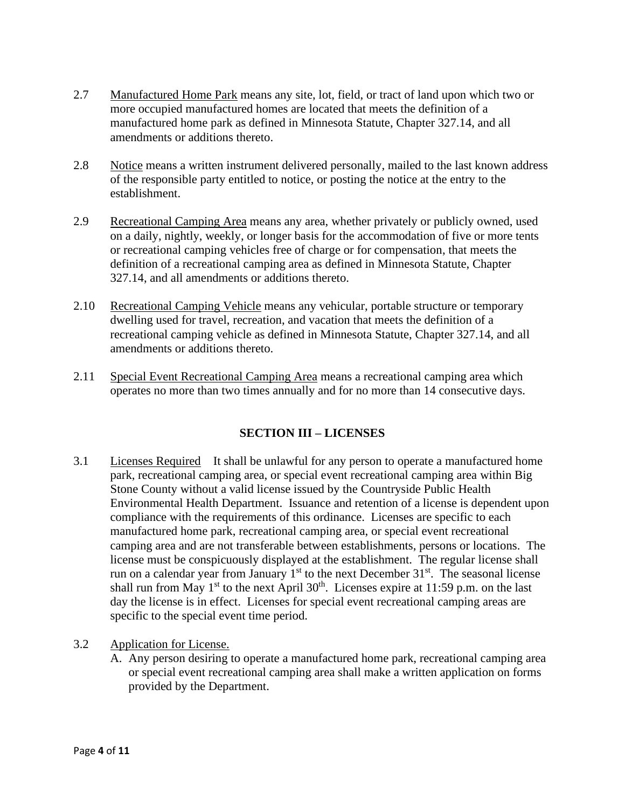- 2.7 Manufactured Home Park means any site, lot, field, or tract of land upon which two or more occupied manufactured homes are located that meets the definition of a manufactured home park as defined in Minnesota Statute, Chapter 327.14, and all amendments or additions thereto.
- 2.8 Notice means a written instrument delivered personally, mailed to the last known address of the responsible party entitled to notice, or posting the notice at the entry to the establishment.
- 2.9 Recreational Camping Area means any area, whether privately or publicly owned, used on a daily, nightly, weekly, or longer basis for the accommodation of five or more tents or recreational camping vehicles free of charge or for compensation, that meets the definition of a recreational camping area as defined in Minnesota Statute, Chapter 327.14, and all amendments or additions thereto.
- 2.10 Recreational Camping Vehicle means any vehicular, portable structure or temporary dwelling used for travel, recreation, and vacation that meets the definition of a recreational camping vehicle as defined in Minnesota Statute, Chapter 327.14, and all amendments or additions thereto.
- 2.11 Special Event Recreational Camping Area means a recreational camping area which operates no more than two times annually and for no more than 14 consecutive days.

## **SECTION III – LICENSES**

- 3.1 Licenses Required It shall be unlawful for any person to operate a manufactured home park, recreational camping area, or special event recreational camping area within Big Stone County without a valid license issued by the Countryside Public Health Environmental Health Department. Issuance and retention of a license is dependent upon compliance with the requirements of this ordinance. Licenses are specific to each manufactured home park, recreational camping area, or special event recreational camping area and are not transferable between establishments, persons or locations. The license must be conspicuously displayed at the establishment. The regular license shall run on a calendar year from January  $1<sup>st</sup>$  to the next December  $31<sup>st</sup>$ . The seasonal license shall run from May 1<sup>st</sup> to the next April 30<sup>th</sup>. Licenses expire at 11:59 p.m. on the last day the license is in effect. Licenses for special event recreational camping areas are specific to the special event time period.
- 3.2 Application for License.
	- A. Any person desiring to operate a manufactured home park, recreational camping area or special event recreational camping area shall make a written application on forms provided by the Department.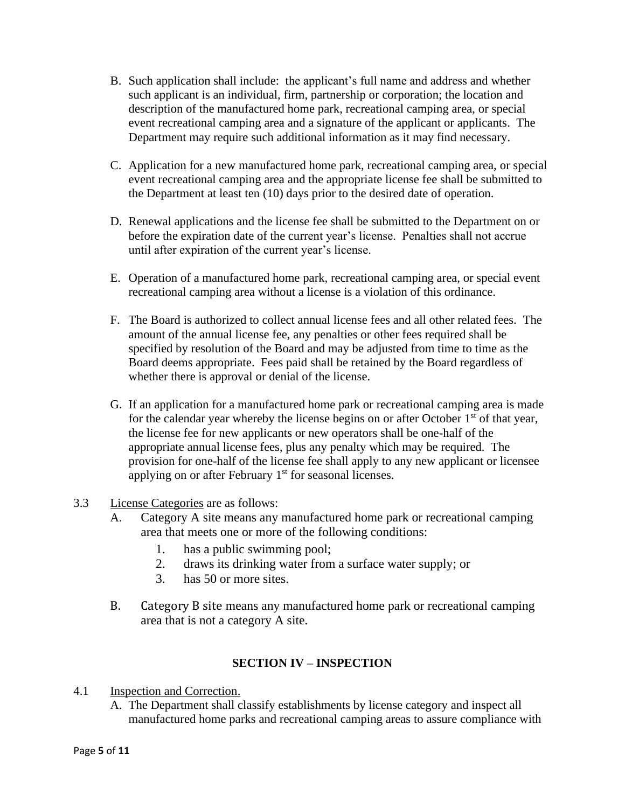- B. Such application shall include: the applicant's full name and address and whether such applicant is an individual, firm, partnership or corporation; the location and description of the manufactured home park, recreational camping area, or special event recreational camping area and a signature of the applicant or applicants. The Department may require such additional information as it may find necessary.
- C. Application for a new manufactured home park, recreational camping area, or special event recreational camping area and the appropriate license fee shall be submitted to the Department at least ten (10) days prior to the desired date of operation.
- D. Renewal applications and the license fee shall be submitted to the Department on or before the expiration date of the current year's license. Penalties shall not accrue until after expiration of the current year's license.
- E. Operation of a manufactured home park, recreational camping area, or special event recreational camping area without a license is a violation of this ordinance.
- F. The Board is authorized to collect annual license fees and all other related fees. The amount of the annual license fee, any penalties or other fees required shall be specified by resolution of the Board and may be adjusted from time to time as the Board deems appropriate. Fees paid shall be retained by the Board regardless of whether there is approval or denial of the license.
- G. If an application for a manufactured home park or recreational camping area is made for the calendar year whereby the license begins on or after October  $1<sup>st</sup>$  of that year, the license fee for new applicants or new operators shall be one-half of the appropriate annual license fees, plus any penalty which may be required. The provision for one-half of the license fee shall apply to any new applicant or licensee applying on or after February  $1<sup>st</sup>$  for seasonal licenses.
- 3.3 License Categories are as follows:
	- A. Category A site means any manufactured home park or recreational camping area that meets one or more of the following conditions:
		- 1. has a public swimming pool;
		- 2. draws its drinking water from a surface water supply; or
		- 3. has 50 or more sites.
	- B. Category B site means any manufactured home park or recreational camping area that is not a category A site.

## **SECTION IV – INSPECTION**

- 4.1 Inspection and Correction.
	- A. The Department shall classify establishments by license category and inspect all manufactured home parks and recreational camping areas to assure compliance with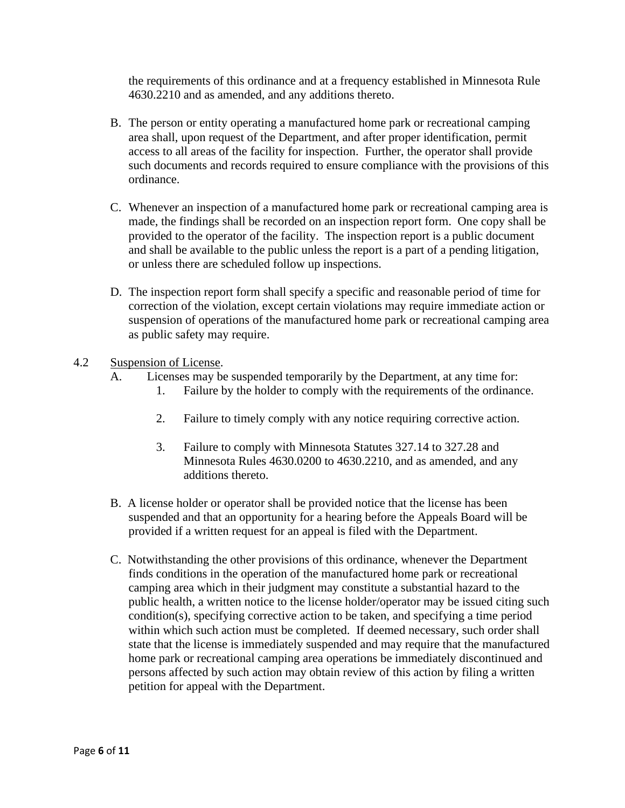the requirements of this ordinance and at a frequency established in Minnesota Rule 4630.2210 and as amended, and any additions thereto.

- B. The person or entity operating a manufactured home park or recreational camping area shall, upon request of the Department, and after proper identification, permit access to all areas of the facility for inspection. Further, the operator shall provide such documents and records required to ensure compliance with the provisions of this ordinance.
- C. Whenever an inspection of a manufactured home park or recreational camping area is made, the findings shall be recorded on an inspection report form. One copy shall be provided to the operator of the facility. The inspection report is a public document and shall be available to the public unless the report is a part of a pending litigation, or unless there are scheduled follow up inspections.
- D. The inspection report form shall specify a specific and reasonable period of time for correction of the violation, except certain violations may require immediate action or suspension of operations of the manufactured home park or recreational camping area as public safety may require.

#### 4.2 Suspension of License.

- A. Licenses may be suspended temporarily by the Department, at any time for:
	- 1. Failure by the holder to comply with the requirements of the ordinance.
	- 2. Failure to timely comply with any notice requiring corrective action.
	- 3. Failure to comply with Minnesota Statutes 327.14 to 327.28 and Minnesota Rules 4630.0200 to 4630.2210, and as amended, and any additions thereto.
- B. A license holder or operator shall be provided notice that the license has been suspended and that an opportunity for a hearing before the Appeals Board will be provided if a written request for an appeal is filed with the Department.
- C. Notwithstanding the other provisions of this ordinance, whenever the Department finds conditions in the operation of the manufactured home park or recreational camping area which in their judgment may constitute a substantial hazard to the public health, a written notice to the license holder/operator may be issued citing such condition(s), specifying corrective action to be taken, and specifying a time period within which such action must be completed. If deemed necessary, such order shall state that the license is immediately suspended and may require that the manufactured home park or recreational camping area operations be immediately discontinued and persons affected by such action may obtain review of this action by filing a written petition for appeal with the Department.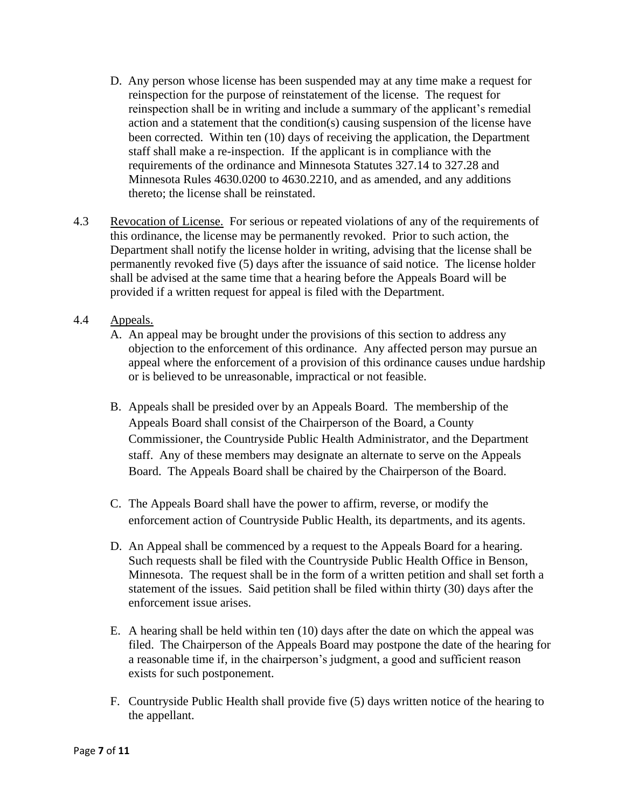- D. Any person whose license has been suspended may at any time make a request for reinspection for the purpose of reinstatement of the license. The request for reinspection shall be in writing and include a summary of the applicant's remedial action and a statement that the condition(s) causing suspension of the license have been corrected. Within ten (10) days of receiving the application, the Department staff shall make a re-inspection. If the applicant is in compliance with the requirements of the ordinance and Minnesota Statutes 327.14 to 327.28 and Minnesota Rules 4630.0200 to 4630.2210, and as amended, and any additions thereto; the license shall be reinstated.
- 4.3 Revocation of License. For serious or repeated violations of any of the requirements of this ordinance, the license may be permanently revoked. Prior to such action, the Department shall notify the license holder in writing, advising that the license shall be permanently revoked five (5) days after the issuance of said notice. The license holder shall be advised at the same time that a hearing before the Appeals Board will be provided if a written request for appeal is filed with the Department.
- 4.4 Appeals.
	- A. An appeal may be brought under the provisions of this section to address any objection to the enforcement of this ordinance. Any affected person may pursue an appeal where the enforcement of a provision of this ordinance causes undue hardship or is believed to be unreasonable, impractical or not feasible.
	- B. Appeals shall be presided over by an Appeals Board. The membership of the Appeals Board shall consist of the Chairperson of the Board, a County Commissioner, the Countryside Public Health Administrator, and the Department staff. Any of these members may designate an alternate to serve on the Appeals Board. The Appeals Board shall be chaired by the Chairperson of the Board.
	- C. The Appeals Board shall have the power to affirm, reverse, or modify the enforcement action of Countryside Public Health, its departments, and its agents.
	- D. An Appeal shall be commenced by a request to the Appeals Board for a hearing. Such requests shall be filed with the Countryside Public Health Office in Benson, Minnesota. The request shall be in the form of a written petition and shall set forth a statement of the issues. Said petition shall be filed within thirty (30) days after the enforcement issue arises.
	- E. A hearing shall be held within ten (10) days after the date on which the appeal was filed. The Chairperson of the Appeals Board may postpone the date of the hearing for a reasonable time if, in the chairperson's judgment, a good and sufficient reason exists for such postponement.
	- F. Countryside Public Health shall provide five (5) days written notice of the hearing to the appellant.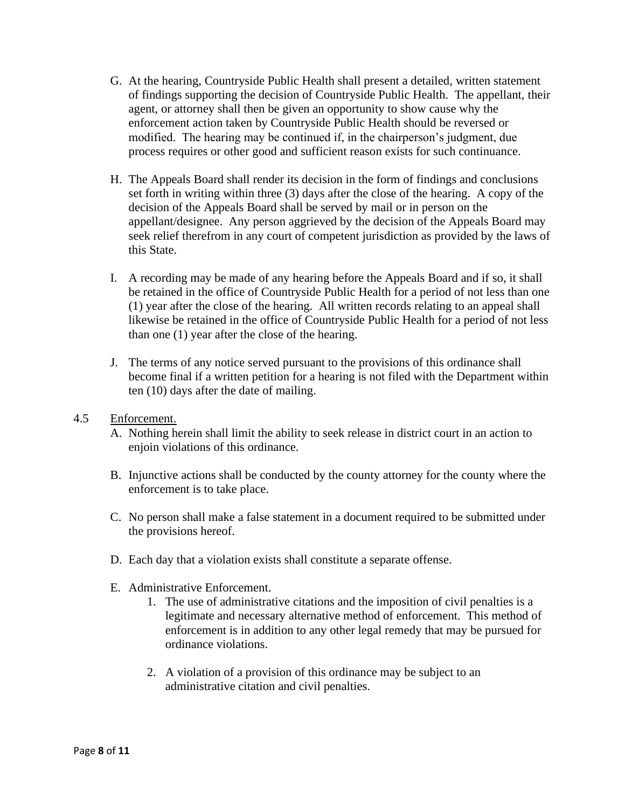- G. At the hearing, Countryside Public Health shall present a detailed, written statement of findings supporting the decision of Countryside Public Health. The appellant, their agent, or attorney shall then be given an opportunity to show cause why the enforcement action taken by Countryside Public Health should be reversed or modified. The hearing may be continued if, in the chairperson's judgment, due process requires or other good and sufficient reason exists for such continuance.
- H. The Appeals Board shall render its decision in the form of findings and conclusions set forth in writing within three (3) days after the close of the hearing. A copy of the decision of the Appeals Board shall be served by mail or in person on the appellant/designee. Any person aggrieved by the decision of the Appeals Board may seek relief therefrom in any court of competent jurisdiction as provided by the laws of this State.
- I. A recording may be made of any hearing before the Appeals Board and if so, it shall be retained in the office of Countryside Public Health for a period of not less than one (1) year after the close of the hearing. All written records relating to an appeal shall likewise be retained in the office of Countryside Public Health for a period of not less than one (1) year after the close of the hearing.
- J. The terms of any notice served pursuant to the provisions of this ordinance shall become final if a written petition for a hearing is not filed with the Department within ten (10) days after the date of mailing.
- 4.5 Enforcement.
	- A. Nothing herein shall limit the ability to seek release in district court in an action to enjoin violations of this ordinance.
	- B. Injunctive actions shall be conducted by the county attorney for the county where the enforcement is to take place.
	- C. No person shall make a false statement in a document required to be submitted under the provisions hereof.
	- D. Each day that a violation exists shall constitute a separate offense.
	- E. Administrative Enforcement.
		- 1. The use of administrative citations and the imposition of civil penalties is a legitimate and necessary alternative method of enforcement. This method of enforcement is in addition to any other legal remedy that may be pursued for ordinance violations.
		- 2. A violation of a provision of this ordinance may be subject to an administrative citation and civil penalties.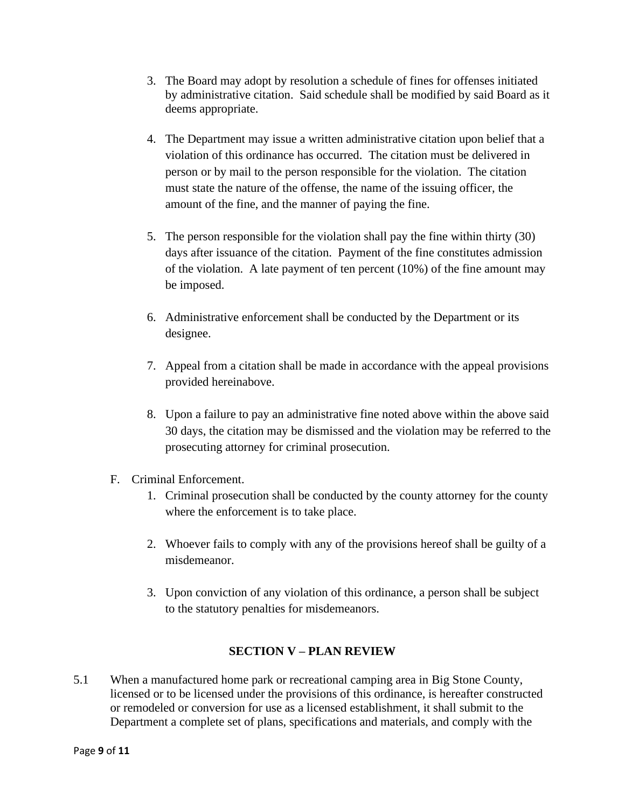- 3. The Board may adopt by resolution a schedule of fines for offenses initiated by administrative citation. Said schedule shall be modified by said Board as it deems appropriate.
- 4. The Department may issue a written administrative citation upon belief that a violation of this ordinance has occurred. The citation must be delivered in person or by mail to the person responsible for the violation. The citation must state the nature of the offense, the name of the issuing officer, the amount of the fine, and the manner of paying the fine.
- 5. The person responsible for the violation shall pay the fine within thirty (30) days after issuance of the citation. Payment of the fine constitutes admission of the violation. A late payment of ten percent (10%) of the fine amount may be imposed.
- 6. Administrative enforcement shall be conducted by the Department or its designee.
- 7. Appeal from a citation shall be made in accordance with the appeal provisions provided hereinabove.
- 8. Upon a failure to pay an administrative fine noted above within the above said 30 days, the citation may be dismissed and the violation may be referred to the prosecuting attorney for criminal prosecution.
- F. Criminal Enforcement.
	- 1. Criminal prosecution shall be conducted by the county attorney for the county where the enforcement is to take place.
	- 2. Whoever fails to comply with any of the provisions hereof shall be guilty of a misdemeanor.
	- 3. Upon conviction of any violation of this ordinance, a person shall be subject to the statutory penalties for misdemeanors.

#### **SECTION V – PLAN REVIEW**

5.1 When a manufactured home park or recreational camping area in Big Stone County, licensed or to be licensed under the provisions of this ordinance, is hereafter constructed or remodeled or conversion for use as a licensed establishment, it shall submit to the Department a complete set of plans, specifications and materials, and comply with the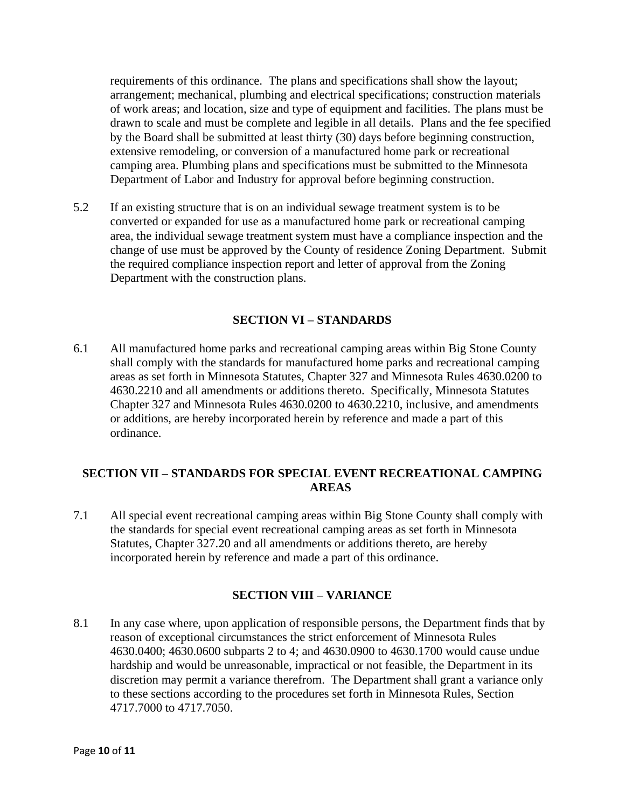requirements of this ordinance. The plans and specifications shall show the layout; arrangement; mechanical, plumbing and electrical specifications; construction materials of work areas; and location, size and type of equipment and facilities. The plans must be drawn to scale and must be complete and legible in all details. Plans and the fee specified by the Board shall be submitted at least thirty (30) days before beginning construction, extensive remodeling, or conversion of a manufactured home park or recreational camping area. Plumbing plans and specifications must be submitted to the Minnesota Department of Labor and Industry for approval before beginning construction.

5.2 If an existing structure that is on an individual sewage treatment system is to be converted or expanded for use as a manufactured home park or recreational camping area, the individual sewage treatment system must have a compliance inspection and the change of use must be approved by the County of residence Zoning Department. Submit the required compliance inspection report and letter of approval from the Zoning Department with the construction plans.

#### **SECTION VI – STANDARDS**

6.1 All manufactured home parks and recreational camping areas within Big Stone County shall comply with the standards for manufactured home parks and recreational camping areas as set forth in Minnesota Statutes, Chapter 327 and Minnesota Rules 4630.0200 to 4630.2210 and all amendments or additions thereto. Specifically, Minnesota Statutes Chapter 327 and Minnesota Rules 4630.0200 to 4630.2210, inclusive, and amendments or additions, are hereby incorporated herein by reference and made a part of this ordinance.

#### **SECTION VII – STANDARDS FOR SPECIAL EVENT RECREATIONAL CAMPING AREAS**

7.1 All special event recreational camping areas within Big Stone County shall comply with the standards for special event recreational camping areas as set forth in Minnesota Statutes, Chapter 327.20 and all amendments or additions thereto, are hereby incorporated herein by reference and made a part of this ordinance.

#### **SECTION VIII – VARIANCE**

8.1 In any case where, upon application of responsible persons, the Department finds that by reason of exceptional circumstances the strict enforcement of Minnesota Rules 4630.0400; 4630.0600 subparts 2 to 4; and 4630.0900 to 4630.1700 would cause undue hardship and would be unreasonable, impractical or not feasible, the Department in its discretion may permit a variance therefrom. The Department shall grant a variance only to these sections according to the procedures set forth in Minnesota Rules, Section 4717.7000 to 4717.7050.